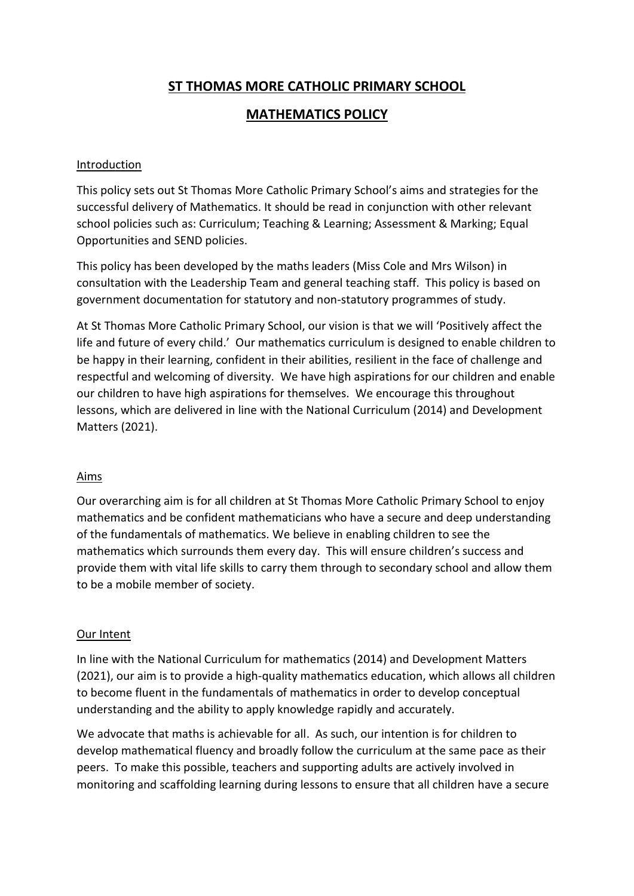# **ST THOMAS MORE CATHOLIC PRIMARY SCHOOL**

## **MATHEMATICS POLICY**

### **Introduction**

This policy sets out St Thomas More Catholic Primary School's aims and strategies for the successful delivery of Mathematics. It should be read in conjunction with other relevant school policies such as: Curriculum; Teaching & Learning; Assessment & Marking; Equal Opportunities and SEND policies.

This policy has been developed by the maths leaders (Miss Cole and Mrs Wilson) in consultation with the Leadership Team and general teaching staff. This policy is based on government documentation for statutory and non-statutory programmes of study.

At St Thomas More Catholic Primary School, our vision is that we will 'Positively affect the life and future of every child.' Our mathematics curriculum is designed to enable children to be happy in their learning, confident in their abilities, resilient in the face of challenge and respectful and welcoming of diversity. We have high aspirations for our children and enable our children to have high aspirations for themselves. We encourage this throughout lessons, which are delivered in line with the National Curriculum (2014) and Development Matters (2021).

## Aims

Our overarching aim is for all children at St Thomas More Catholic Primary School to enjoy mathematics and be confident mathematicians who have a secure and deep understanding of the fundamentals of mathematics. We believe in enabling children to see the mathematics which surrounds them every day. This will ensure children's success and provide them with vital life skills to carry them through to secondary school and allow them to be a mobile member of society.

#### Our Intent

In line with the National Curriculum for mathematics (2014) and Development Matters (2021), our aim is to provide a high-quality mathematics education, which allows all children to become fluent in the fundamentals of mathematics in order to develop conceptual understanding and the ability to apply knowledge rapidly and accurately.

We advocate that maths is achievable for all. As such, our intention is for children to develop mathematical fluency and broadly follow the curriculum at the same pace as their peers. To make this possible, teachers and supporting adults are actively involved in monitoring and scaffolding learning during lessons to ensure that all children have a secure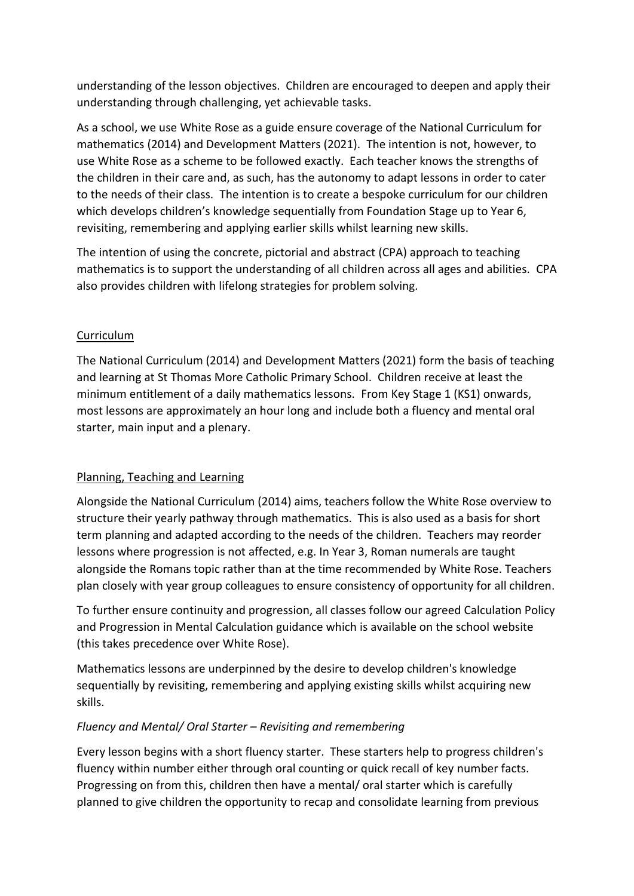understanding of the lesson objectives. Children are encouraged to deepen and apply their understanding through challenging, yet achievable tasks.

As a school, we use White Rose as a guide ensure coverage of the National Curriculum for mathematics (2014) and Development Matters (2021). The intention is not, however, to use White Rose as a scheme to be followed exactly. Each teacher knows the strengths of the children in their care and, as such, has the autonomy to adapt lessons in order to cater to the needs of their class. The intention is to create a bespoke curriculum for our children which develops children's knowledge sequentially from Foundation Stage up to Year 6, revisiting, remembering and applying earlier skills whilst learning new skills.

The intention of using the concrete, pictorial and abstract (CPA) approach to teaching mathematics is to support the understanding of all children across all ages and abilities. CPA also provides children with lifelong strategies for problem solving.

## Curriculum

The National Curriculum (2014) and Development Matters (2021) form the basis of teaching and learning at St Thomas More Catholic Primary School. Children receive at least the minimum entitlement of a daily mathematics lessons. From Key Stage 1 (KS1) onwards, most lessons are approximately an hour long and include both a fluency and mental oral starter, main input and a plenary.

#### Planning, Teaching and Learning

Alongside the National Curriculum (2014) aims, teachers follow the White Rose overview to structure their yearly pathway through mathematics. This is also used as a basis for short term planning and adapted according to the needs of the children. Teachers may reorder lessons where progression is not affected, e.g. In Year 3, Roman numerals are taught alongside the Romans topic rather than at the time recommended by White Rose. Teachers plan closely with year group colleagues to ensure consistency of opportunity for all children.

To further ensure continuity and progression, all classes follow our agreed Calculation Policy and Progression in Mental Calculation guidance which is available on the school website (this takes precedence over White Rose).

Mathematics lessons are underpinned by the desire to develop children's knowledge sequentially by revisiting, remembering and applying existing skills whilst acquiring new skills.

## *Fluency and Mental/ Oral Starter – Revisiting and remembering*

Every lesson begins with a short fluency starter. These starters help to progress children's fluency within number either through oral counting or quick recall of key number facts. Progressing on from this, children then have a mental/ oral starter which is carefully planned to give children the opportunity to recap and consolidate learning from previous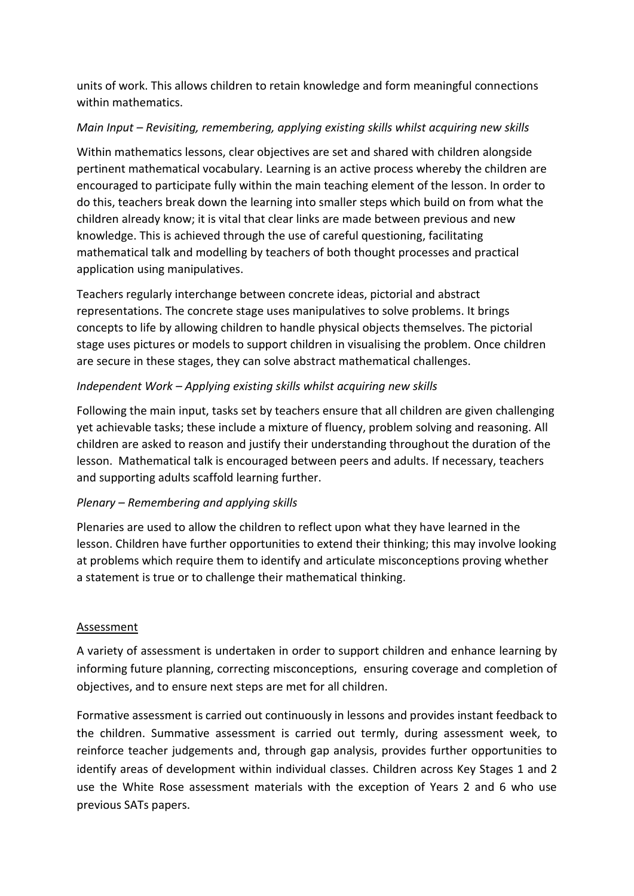units of work. This allows children to retain knowledge and form meaningful connections within mathematics.

## *Main Input – Revisiting, remembering, applying existing skills whilst acquiring new skills*

Within mathematics lessons, clear objectives are set and shared with children alongside pertinent mathematical vocabulary. Learning is an active process whereby the children are encouraged to participate fully within the main teaching element of the lesson. In order to do this, teachers break down the learning into smaller steps which build on from what the children already know; it is vital that clear links are made between previous and new knowledge. This is achieved through the use of careful questioning, facilitating mathematical talk and modelling by teachers of both thought processes and practical application using manipulatives.

Teachers regularly interchange between concrete ideas, pictorial and abstract representations. The concrete stage uses manipulatives to solve problems. It brings concepts to life by allowing children to handle physical objects themselves. The pictorial stage uses pictures or models to support children in visualising the problem. Once children are secure in these stages, they can solve abstract mathematical challenges.

## *Independent Work – Applying existing skills whilst acquiring new skills*

Following the main input, tasks set by teachers ensure that all children are given challenging yet achievable tasks; these include a mixture of fluency, problem solving and reasoning. All children are asked to reason and justify their understanding throughout the duration of the lesson. Mathematical talk is encouraged between peers and adults. If necessary, teachers and supporting adults scaffold learning further.

## *Plenary – Remembering and applying skills*

Plenaries are used to allow the children to reflect upon what they have learned in the lesson. Children have further opportunities to extend their thinking; this may involve looking at problems which require them to identify and articulate misconceptions proving whether a statement is true or to challenge their mathematical thinking.

## Assessment

A variety of assessment is undertaken in order to support children and enhance learning by informing future planning, correcting misconceptions, ensuring coverage and completion of objectives, and to ensure next steps are met for all children.

Formative assessment is carried out continuously in lessons and provides instant feedback to the children. Summative assessment is carried out termly, during assessment week, to reinforce teacher judgements and, through gap analysis, provides further opportunities to identify areas of development within individual classes. Children across Key Stages 1 and 2 use the White Rose assessment materials with the exception of Years 2 and 6 who use previous SATs papers.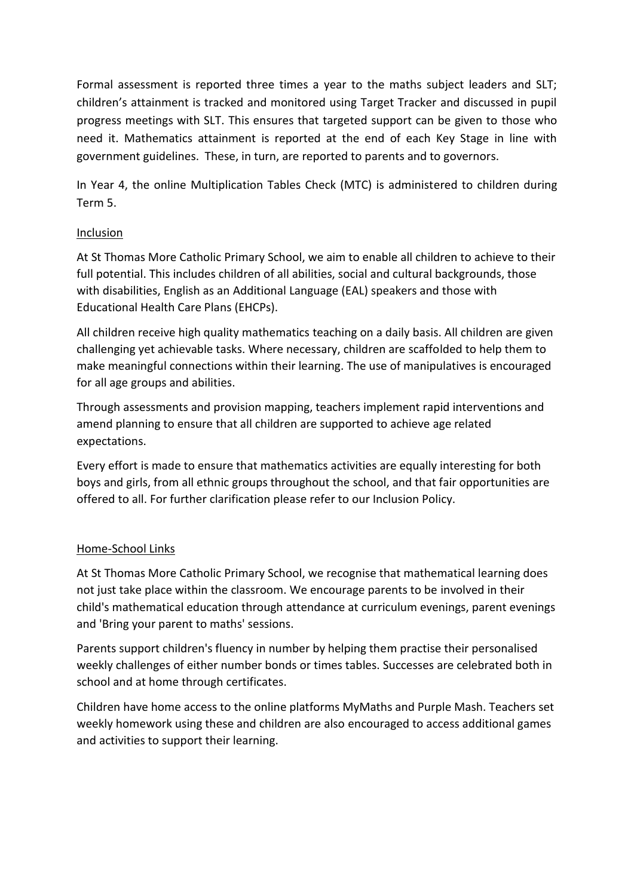Formal assessment is reported three times a year to the maths subject leaders and SLT; children's attainment is tracked and monitored using Target Tracker and discussed in pupil progress meetings with SLT. This ensures that targeted support can be given to those who need it. Mathematics attainment is reported at the end of each Key Stage in line with government guidelines. These, in turn, are reported to parents and to governors.

In Year 4, the online Multiplication Tables Check (MTC) is administered to children during Term 5.

## Inclusion

At St Thomas More Catholic Primary School, we aim to enable all children to achieve to their full potential. This includes children of all abilities, social and cultural backgrounds, those with disabilities, English as an Additional Language (EAL) speakers and those with Educational Health Care Plans (EHCPs).

All children receive high quality mathematics teaching on a daily basis. All children are given challenging yet achievable tasks. Where necessary, children are scaffolded to help them to make meaningful connections within their learning. The use of manipulatives is encouraged for all age groups and abilities.

Through assessments and provision mapping, teachers implement rapid interventions and amend planning to ensure that all children are supported to achieve age related expectations.

Every effort is made to ensure that mathematics activities are equally interesting for both boys and girls, from all ethnic groups throughout the school, and that fair opportunities are offered to all. For further clarification please refer to our Inclusion Policy.

## Home-School Links

At St Thomas More Catholic Primary School, we recognise that mathematical learning does not just take place within the classroom. We encourage parents to be involved in their child's mathematical education through attendance at curriculum evenings, parent evenings and 'Bring your parent to maths' sessions.

Parents support children's fluency in number by helping them practise their personalised weekly challenges of either number bonds or times tables. Successes are celebrated both in school and at home through certificates.

Children have home access to the online platforms MyMaths and Purple Mash. Teachers set weekly homework using these and children are also encouraged to access additional games and activities to support their learning.